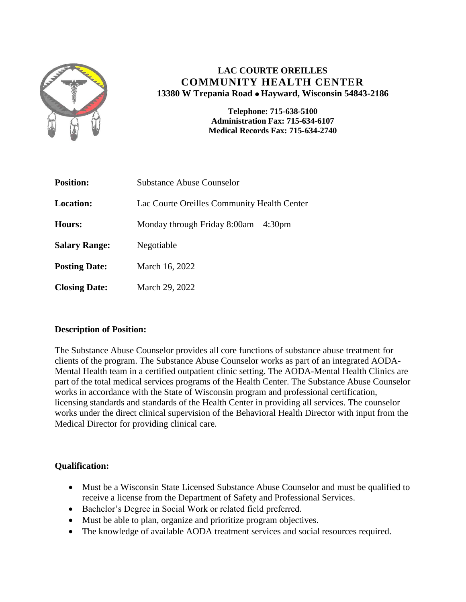

# **LAC COURTE OREILLES COMMUNITY HEALTH CENTER 13380 W Trepania Road Hayward, Wisconsin 54843-2186**

**Telephone: 715-638-5100 Administration Fax: 715-634-6107 Medical Records Fax: 715-634-2740**

| <b>Position:</b>     | Substance Abuse Counselor                   |
|----------------------|---------------------------------------------|
| <b>Location:</b>     | Lac Courte Oreilles Community Health Center |
| Hours:               | Monday through Friday $8:00am - 4:30pm$     |
| <b>Salary Range:</b> | Negotiable                                  |
| <b>Posting Date:</b> | March 16, 2022                              |
| <b>Closing Date:</b> | March 29, 2022                              |

## **Description of Position:**

The Substance Abuse Counselor provides all core functions of substance abuse treatment for clients of the program. The Substance Abuse Counselor works as part of an integrated AODA-Mental Health team in a certified outpatient clinic setting. The AODA-Mental Health Clinics are part of the total medical services programs of the Health Center. The Substance Abuse Counselor works in accordance with the State of Wisconsin program and professional certification, licensing standards and standards of the Health Center in providing all services. The counselor works under the direct clinical supervision of the Behavioral Health Director with input from the Medical Director for providing clinical care.

## **Qualification:**

- Must be a Wisconsin State Licensed Substance Abuse Counselor and must be qualified to receive a license from the Department of Safety and Professional Services.
- Bachelor's Degree in Social Work or related field preferred.
- Must be able to plan, organize and prioritize program objectives.
- The knowledge of available AODA treatment services and social resources required.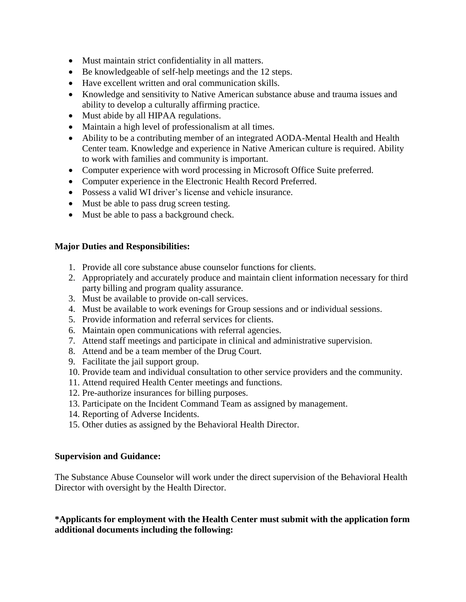- Must maintain strict confidentiality in all matters.
- Be knowledgeable of self-help meetings and the 12 steps.
- Have excellent written and oral communication skills.
- Knowledge and sensitivity to Native American substance abuse and trauma issues and ability to develop a culturally affirming practice.
- Must abide by all HIPAA regulations.
- Maintain a high level of professionalism at all times.
- Ability to be a contributing member of an integrated AODA-Mental Health and Health Center team. Knowledge and experience in Native American culture is required. Ability to work with families and community is important.
- Computer experience with word processing in Microsoft Office Suite preferred.
- Computer experience in the Electronic Health Record Preferred.
- Possess a valid WI driver's license and vehicle insurance.
- Must be able to pass drug screen testing.
- Must be able to pass a background check.

#### **Major Duties and Responsibilities:**

- 1. Provide all core substance abuse counselor functions for clients.
- 2. Appropriately and accurately produce and maintain client information necessary for third party billing and program quality assurance.
- 3. Must be available to provide on-call services.
- 4. Must be available to work evenings for Group sessions and or individual sessions.
- 5. Provide information and referral services for clients.
- 6. Maintain open communications with referral agencies.
- 7. Attend staff meetings and participate in clinical and administrative supervision.
- 8. Attend and be a team member of the Drug Court.
- 9. Facilitate the jail support group.
- 10. Provide team and individual consultation to other service providers and the community.
- 11. Attend required Health Center meetings and functions.
- 12. Pre-authorize insurances for billing purposes.
- 13. Participate on the Incident Command Team as assigned by management.
- 14. Reporting of Adverse Incidents.
- 15. Other duties as assigned by the Behavioral Health Director.

#### **Supervision and Guidance:**

The Substance Abuse Counselor will work under the direct supervision of the Behavioral Health Director with oversight by the Health Director.

#### **\*Applicants for employment with the Health Center must submit with the application form additional documents including the following:**